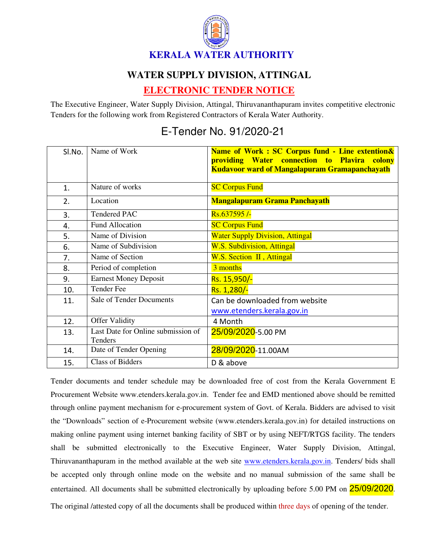

## **WATER SUPPLY DIVISION, ATTINGAL**

## **ELECTRONIC TENDER NOTICE**

The Executive Engineer, Water Supply Division, Attingal, Thiruvananthapuram invites competitive electronic Tenders for the following work from Registered Contractors of Kerala Water Authority.

## E-Tender No. 91/2020-21

| Sl.No. | Name of Work                                  | Name of Work: SC Corpus fund - Line extention&<br>providing Water connection to Plavira colony<br><b>Kudavoor ward of Mangalapuram Gramapanchayath</b> |
|--------|-----------------------------------------------|--------------------------------------------------------------------------------------------------------------------------------------------------------|
| 1.     | Nature of works                               | <b>SC Corpus Fund</b>                                                                                                                                  |
| 2.     | Location                                      | <b>Mangalapuram Grama Panchayath</b>                                                                                                                   |
| 3.     | <b>Tendered PAC</b>                           | Rs.637595/-                                                                                                                                            |
| 4.     | <b>Fund Allocation</b>                        | <b>SC Corpus Fund</b>                                                                                                                                  |
| 5.     | Name of Division                              | <b>Water Supply Division, Attingal</b>                                                                                                                 |
| 6.     | Name of Subdivision                           | <b>W.S. Subdivision, Attingal</b>                                                                                                                      |
| 7.     | Name of Section                               | W.S. Section II, Attingal                                                                                                                              |
| 8.     | Period of completion                          | 3 months                                                                                                                                               |
| 9.     | <b>Earnest Money Deposit</b>                  | Rs. 15,950/-                                                                                                                                           |
| 10.    | <b>Tender Fee</b>                             | Rs. 1,280/-                                                                                                                                            |
| 11.    | Sale of Tender Documents                      | Can be downloaded from website                                                                                                                         |
|        |                                               | www.etenders.kerala.gov.in                                                                                                                             |
| 12.    | <b>Offer Validity</b>                         | 4 Month                                                                                                                                                |
| 13.    | Last Date for Online submission of<br>Tenders | 25/09/2020-5.00 PM                                                                                                                                     |
| 14.    | Date of Tender Opening                        | 28/09/2020-11.00AM                                                                                                                                     |
| 15.    | <b>Class of Bidders</b>                       | D & above                                                                                                                                              |

Tender documents and tender schedule may be downloaded free of cost from the Kerala Government E Procurement Website www.etenders.kerala.gov.in. Tender fee and EMD mentioned above should be remitted through online payment mechanism for e-procurement system of Govt. of Kerala. Bidders are advised to visit the "Downloads" section of e-Procurement website (www.etenders.kerala.gov.in) for detailed instructions on making online payment using internet banking facility of SBT or by using NEFT/RTGS facility. The tenders shall be submitted electronically to the Executive Engineer, Water Supply Division, Attingal, Thiruvananthapuram in the method available at the web site www.etenders.kerala.gov.in. Tenders/ bids shall be accepted only through online mode on the website and no manual submission of the same shall be entertained. All documents shall be submitted electronically by uploading before 5.00 PM on 25/09/2020.

The original /attested copy of all the documents shall be produced within three days of opening of the tender.